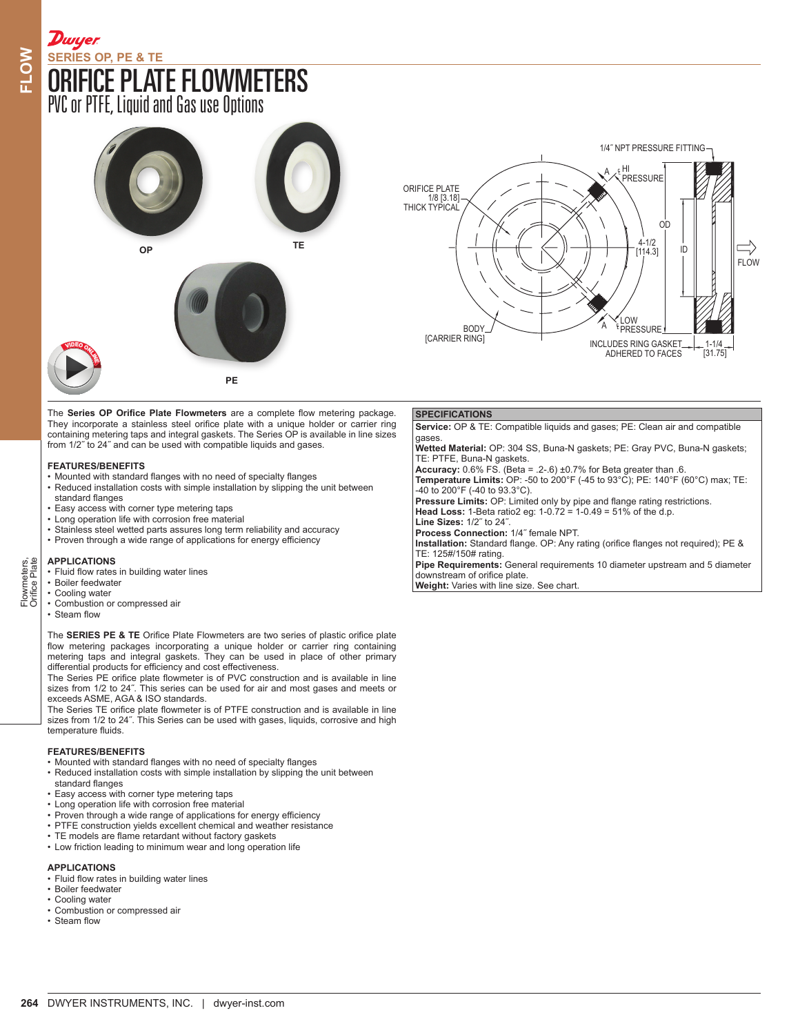# [ORIFICE PLATE FLOWMETERS](http://www.dwyer-inst.com/Product/Flow/Flowmeters/OrificePlate/SeriesOP) **SERIES OP, PE & TE**

PVC or PTFE, Liquid and Gas use Options

**Dwyer** 



The **Series OP Orifice Plate Flowmeters** are a complete flow metering package. They incorporate a stainless steel orifice plate with a unique holder or carrier ring containing metering taps and integral gaskets. The Series OP is available in line sizes from 1/2˝ to 24˝ and can be used with compatible liquids and gases.

# **FEATURES/BENEFITS**

- Mounted with standard flanges with no need of specialty flanges
- Reduced installation costs with simple installation by slipping the unit between standard flanges
- Easy access with corner type metering taps
- Long operation life with corrosion free material
- Stainless steel wetted parts assures long term reliability and accuracy
- Proven through a wide range of applications for energy efficiency

## **APPLICATIONS**

• Fluid flow rates in building water lines

- Boiler feedwater
- Cooling water
- Combustion or compressed air
- Steam flow

The **SERIES PE & TE** Orifice Plate Flowmeters are two series of plastic orifice plate flow metering packages incorporating a unique holder or carrier ring containing metering taps and integral gaskets. They can be used in place of other primary differential products for efficiency and cost effectiveness.

The Series PE orifice plate flowmeter is of PVC construction and is available in line sizes from 1/2 to 24˝. This series can be used for air and most gases and meets or exceeds ASME, AGA & ISO standards.

The Series TE orifice plate flowmeter is of PTFE construction and is available in line sizes from 1/2 to 24˝. This Series can be used with gases, liquids, corrosive and high temperature fluids.

## **FEATURES/BENEFITS**

- Mounted with standard flanges with no need of specialty flanges
- Reduced installation costs with simple installation by slipping the unit between
- standard flanges • Easy access with corner type metering taps
- Long operation life with corrosion free material
- Proven through a wide range of applications for energy efficiency
- PTFE construction yields excellent chemical and weather resistance
- TE models are flame retardant without factory gaskets
- Low friction leading to minimum wear and long operation life

# **APPLICATIONS**

- Fluid flow rates in building water lines
- Boiler feedwater
- Cooling water
- Combustion or compressed air
- Steam flow



# **SPECIFICATIONS**

**Service:** OP & TE: Compatible liquids and gases; PE: Clean air and compatible gases. **Wetted Material:** OP: 304 SS, Buna-N gaskets; PE: Gray PVC, Buna-N gaskets; TE: PTFE, Buna-N gaskets.

**Accuracy:** 0.6% FS. (Beta = .2-.6) ±0.7% for Beta greater than .6. **Temperature Limits:** OP: -50 to 200°F (-45 to 93°C); PE: 140°F (60°C) max; TE: -40 to 200°F (-40 to 93.3°C). **Pressure Limits:** OP: Limited only by pipe and flange rating restrictions. **Head Loss:** 1-Beta ratio2 eg: 1-0.72 = 1-0.49 = 51% of the d.p. **Line Sizes:** 1/2˝ to 24˝. **Process Connection:** 1/4˝ female NPT. **Installation:** Standard flange. OP: Any rating (orifice flanges not required); PE & TE: 125#/150# rating. **Pipe Requirements:** General requirements 10 diameter upstream and 5 diameter

downstream of orifice plate. **Weight:** Varies with line size. See chart.